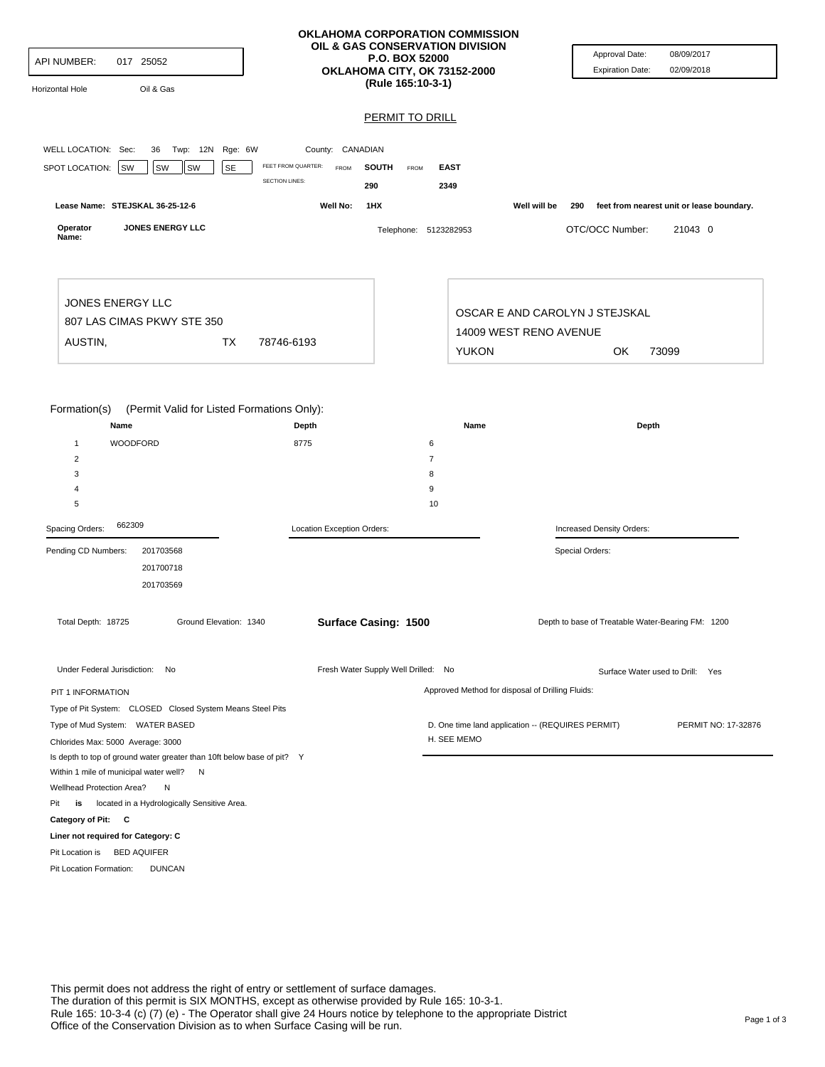| API NUMBER:<br>017 25052<br>Oil & Gas<br>Horizontal Hole<br>WELL LOCATION: Sec:<br>36 Twp: 12N Rge: 6W                                                                                                                                                                                                                                                  | County: CANADIAN                                           | OKLAHOMA CORPORATION COMMISSION<br>OIL & GAS CONSERVATION DIVISION<br><b>P.O. BOX 52000</b><br>OKLAHOMA CITY, OK 73152-2000<br>(Rule 165:10-3-1)<br><b>PERMIT TO DRILL</b> | Approval Date:<br><b>Expiration Date:</b>                                                             | 08/09/2017<br>02/09/2018                  |
|---------------------------------------------------------------------------------------------------------------------------------------------------------------------------------------------------------------------------------------------------------------------------------------------------------------------------------------------------------|------------------------------------------------------------|----------------------------------------------------------------------------------------------------------------------------------------------------------------------------|-------------------------------------------------------------------------------------------------------|-------------------------------------------|
| SPOT LOCATION:<br><b>SE</b><br><b>SW</b><br>SW<br>SW                                                                                                                                                                                                                                                                                                    | FEET FROM QUARTER:<br><b>FROM</b><br><b>SECTION LINES:</b> | <b>SOUTH</b><br><b>EAST</b><br>FROM<br>290<br>2349                                                                                                                         |                                                                                                       |                                           |
| Lease Name: STEJSKAL 36-25-12-6                                                                                                                                                                                                                                                                                                                         | Well No:                                                   | 1HX                                                                                                                                                                        | Well will be<br>290                                                                                   | feet from nearest unit or lease boundary. |
| JONES ENERGY LLC<br>Operator<br>Name:                                                                                                                                                                                                                                                                                                                   |                                                            | Telephone: 5123282953                                                                                                                                                      | OTC/OCC Number:                                                                                       | 21043 0                                   |
| JONES ENERGY LLC<br>807 LAS CIMAS PKWY STE 350<br>AUSTIN,<br>ТX                                                                                                                                                                                                                                                                                         | 78746-6193                                                 | <b>YUKON</b>                                                                                                                                                               | OSCAR E AND CAROLYN J STEJSKAL<br>14009 WEST RENO AVENUE<br>OK                                        | 73099                                     |
| Formation(s)<br>(Permit Valid for Listed Formations Only):<br>Name<br>WOODFORD<br>$\mathbf{1}$<br>$\overline{\mathbf{c}}$<br>3                                                                                                                                                                                                                          | Depth<br>8775                                              | Name<br>6<br>$\overline{7}$<br>8                                                                                                                                           | Depth                                                                                                 |                                           |
| 4<br>5                                                                                                                                                                                                                                                                                                                                                  |                                                            | 9<br>10                                                                                                                                                                    |                                                                                                       |                                           |
| 662309<br>Spacing Orders:                                                                                                                                                                                                                                                                                                                               | Location Exception Orders:                                 |                                                                                                                                                                            | Increased Density Orders:                                                                             |                                           |
| Pending CD Numbers:<br>201703568<br>201700718<br>201703569<br>Total Depth: 18725<br>Ground Elevation: 1340                                                                                                                                                                                                                                              |                                                            | Surface Casing: 1500                                                                                                                                                       | Special Orders:<br>Depth to base of Treatable Water-Bearing FM: 1200                                  |                                           |
|                                                                                                                                                                                                                                                                                                                                                         |                                                            |                                                                                                                                                                            |                                                                                                       |                                           |
| Under Federal Jurisdiction: No                                                                                                                                                                                                                                                                                                                          |                                                            | Fresh Water Supply Well Drilled: No                                                                                                                                        |                                                                                                       | Surface Water used to Drill: Yes          |
| PIT 1 INFORMATION<br>Type of Pit System: CLOSED Closed System Means Steel Pits<br>Type of Mud System: WATER BASED<br>Chlorides Max: 5000 Average: 3000                                                                                                                                                                                                  |                                                            | H. SEE MEMO                                                                                                                                                                | Approved Method for disposal of Drilling Fluids:<br>D. One time land application -- (REQUIRES PERMIT) | PERMIT NO: 17-32876                       |
| Is depth to top of ground water greater than 10ft below base of pit? Y<br>Within 1 mile of municipal water well? N<br>Wellhead Protection Area?<br>N<br>located in a Hydrologically Sensitive Area.<br>Pit<br>is<br>Category of Pit: C<br>Liner not required for Category: C<br>Pit Location is BED AQUIFER<br>Pit Location Formation:<br><b>DUNCAN</b> |                                                            |                                                                                                                                                                            |                                                                                                       |                                           |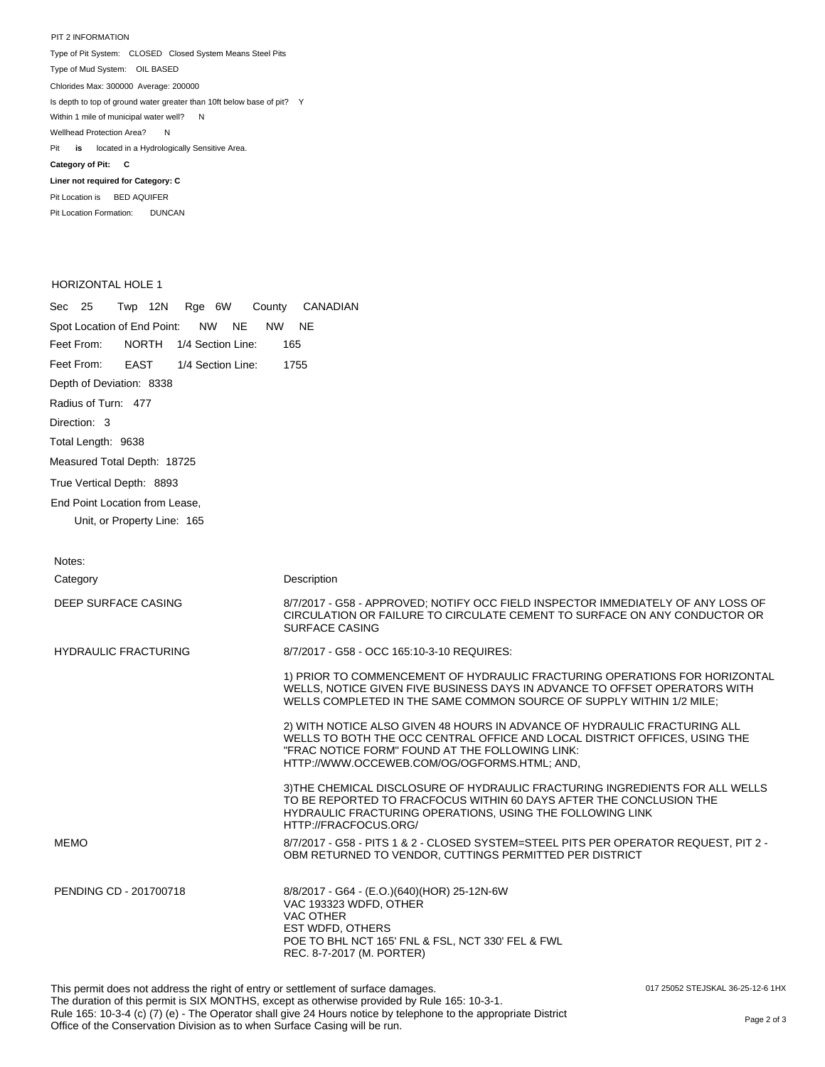PIT 2 INFORMATION Type of Pit System: CLOSED Closed System Means Steel Pits Type of Mud System: OIL BASED Pit **is** located in a Hydrologically Sensitive Area. **Category of Pit: C Liner not required for Category: C** Pit Location is BED AQUIFER Chlorides Max: 300000 Average: 200000 Is depth to top of ground water greater than 10ft below base of pit? Y Within 1 mile of municipal water well? N Wellhead Protection Area? N

HORIZONTAL HOLE 1

Pit Location Formation: DUNCAN

| Sec 25<br>Twp 12N<br>Rge 6W<br>County                        | CANADIAN                                                                                                                                                                                                                                                   |
|--------------------------------------------------------------|------------------------------------------------------------------------------------------------------------------------------------------------------------------------------------------------------------------------------------------------------------|
| Spot Location of End Point:<br><b>NW</b><br>NE.<br><b>NW</b> | <b>NE</b>                                                                                                                                                                                                                                                  |
| Feet From:<br><b>NORTH</b><br>1/4 Section Line:              | 165                                                                                                                                                                                                                                                        |
| Feet From:<br><b>EAST</b><br>1/4 Section Line:               | 1755                                                                                                                                                                                                                                                       |
| Depth of Deviation: 8338                                     |                                                                                                                                                                                                                                                            |
| Radius of Turn: 477                                          |                                                                                                                                                                                                                                                            |
| Direction: 3                                                 |                                                                                                                                                                                                                                                            |
| Total Length: 9638                                           |                                                                                                                                                                                                                                                            |
| Measured Total Depth: 18725                                  |                                                                                                                                                                                                                                                            |
| True Vertical Depth: 8893                                    |                                                                                                                                                                                                                                                            |
| End Point Location from Lease,                               |                                                                                                                                                                                                                                                            |
| Unit, or Property Line: 165                                  |                                                                                                                                                                                                                                                            |
|                                                              |                                                                                                                                                                                                                                                            |
| Notes:                                                       |                                                                                                                                                                                                                                                            |
| Category                                                     | Description                                                                                                                                                                                                                                                |
| DEEP SURFACE CASING                                          | 8/7/2017 - G58 - APPROVED; NOTIFY OCC FIELD INSPECTOR IMMEDIATELY OF ANY LOSS OF<br>CIRCULATION OR FAILURE TO CIRCULATE CEMENT TO SURFACE ON ANY CONDUCTOR OR<br><b>SURFACE CASING</b>                                                                     |
| <b>HYDRAULIC FRACTURING</b>                                  | 8/7/2017 - G58 - OCC 165:10-3-10 REQUIRES:                                                                                                                                                                                                                 |
|                                                              | 1) PRIOR TO COMMENCEMENT OF HYDRAULIC FRACTURING OPERATIONS FOR HORIZONTAL<br>WELLS, NOTICE GIVEN FIVE BUSINESS DAYS IN ADVANCE TO OFFSET OPERATORS WITH<br>WELLS COMPLETED IN THE SAME COMMON SOURCE OF SUPPLY WITHIN 1/2 MILE;                           |
|                                                              | 2) WITH NOTICE ALSO GIVEN 48 HOURS IN ADVANCE OF HYDRAULIC FRACTURING ALL<br>WELLS TO BOTH THE OCC CENTRAL OFFICE AND LOCAL DISTRICT OFFICES, USING THE<br>"FRAC NOTICE FORM" FOUND AT THE FOLLOWING LINK:<br>HTTP://WWW.OCCEWEB.COM/OG/OGFORMS.HTML; AND, |
|                                                              | 3) THE CHEMICAL DISCLOSURE OF HYDRAULIC FRACTURING INGREDIENTS FOR ALL WELLS<br>TO BE REPORTED TO FRACFOCUS WITHIN 60 DAYS AFTER THE CONCLUSION THE<br>HYDRAULIC FRACTURING OPERATIONS, USING THE FOLLOWING LINK<br>HTTP://FRACFOCUS.ORG/                  |
| <b>MEMO</b>                                                  | 8/7/2017 - G58 - PITS 1 & 2 - CLOSED SYSTEM=STEEL PITS PER OPERATOR REQUEST, PIT 2 -<br>OBM RETURNED TO VENDOR, CUTTINGS PERMITTED PER DISTRICT                                                                                                            |
| PENDING CD - 201700718                                       | 8/8/2017 - G64 - (E.O.)(640)(HOR) 25-12N-6W<br>VAC 193323 WDFD, OTHER<br>VAC OTHER<br>EST WDFD, OTHERS<br>POE TO BHL NCT 165' FNL & FSL, NCT 330' FEL & FWL<br>REC. 8-7-2017 (M. PORTER)                                                                   |

017 25052 STEJSKAL 36-25-12-6 1HX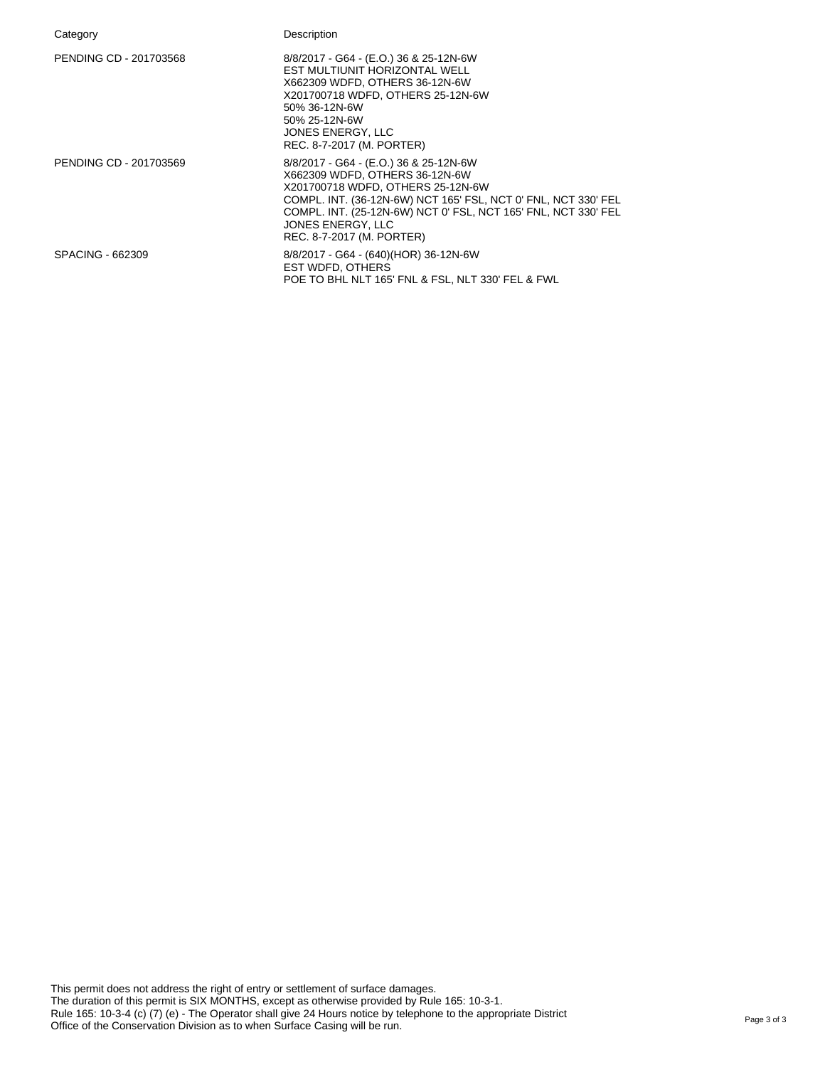| Category               | Description                                                                                                                                                                                                                                                                                         |
|------------------------|-----------------------------------------------------------------------------------------------------------------------------------------------------------------------------------------------------------------------------------------------------------------------------------------------------|
| PENDING CD - 201703568 | 8/8/2017 - G64 - (E.O.) 36 & 25-12N-6W<br>EST MULTIUNIT HORIZONTAL WELL<br>X662309 WDFD, OTHERS 36-12N-6W<br>X201700718 WDFD, OTHERS 25-12N-6W<br>50% 36-12N-6W<br>50% 25-12N-6W<br>JONES ENERGY, LLC<br>REC. 8-7-2017 (M. PORTER)                                                                  |
| PENDING CD - 201703569 | 8/8/2017 - G64 - (E.O.) 36 & 25-12N-6W<br>X662309 WDFD, OTHERS 36-12N-6W<br>X201700718 WDFD, OTHERS 25-12N-6W<br>COMPL. INT. (36-12N-6W) NCT 165' FSL, NCT 0' FNL, NCT 330' FEL<br>COMPL. INT. (25-12N-6W) NCT 0' FSL, NCT 165' FNL, NCT 330' FEL<br>JONES ENERGY, LLC<br>REC. 8-7-2017 (M. PORTER) |
| SPACING - 662309       | 8/8/2017 - G64 - (640) (HOR) 36-12N-6W<br>EST WDFD, OTHERS<br>POE TO BHL NLT 165' FNL & FSL, NLT 330' FEL & FWL                                                                                                                                                                                     |